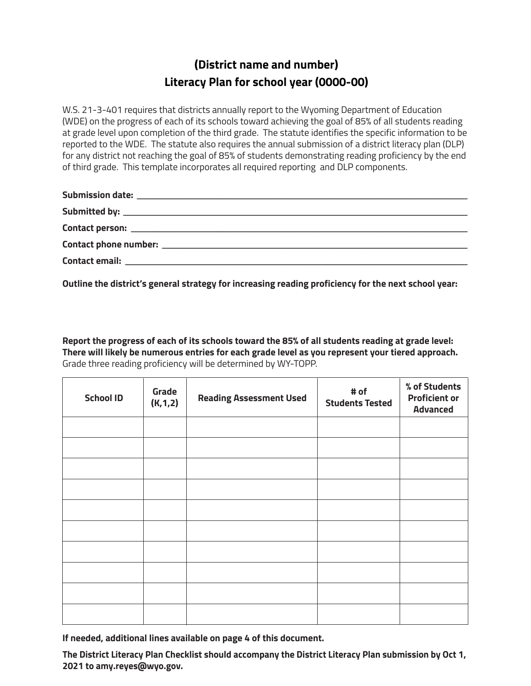## **(District name and number) Literacy Plan for school year (0000-00)**

W.S. 21-3-401 requires that districts annually report to the Wyoming Department of Education (WDE) on the progress of each of its schools toward achieving the goal of 85% of all students reading at grade level upon completion of the third grade. The statute identifies the specific information to be reported to the WDE. The statute also requires the annual submission of a district literacy plan (DLP) for any district not reaching the goal of 85% of students demonstrating reading proficiency by the end of third grade. This template incorporates all required reporting and DLP components.

| Contact phone number: contact the number of the state of the state of the state of the state of the state of the state of the state of the state of the state of the state of the state of the state of the state of the state |  |
|--------------------------------------------------------------------------------------------------------------------------------------------------------------------------------------------------------------------------------|--|
| Contact email: <u>_____________________</u>                                                                                                                                                                                    |  |

**Outline the district's general strategy for increasing reading proficiency for the next school year:**

**Report the progress of each of its schools toward the 85% of all students reading at grade level: There will likely be numerous entries for each grade level as you represent your tiered approach.**  Grade three reading proficiency will be determined by WY-TOPP.

| <b>School ID</b> | Grade<br>(K, 1, 2) | <b>Reading Assessment Used</b> | # of<br><b>Students Tested</b> | % of Students<br><b>Proficient or</b><br><b>Advanced</b> |
|------------------|--------------------|--------------------------------|--------------------------------|----------------------------------------------------------|
|                  |                    |                                |                                |                                                          |
|                  |                    |                                |                                |                                                          |
|                  |                    |                                |                                |                                                          |
|                  |                    |                                |                                |                                                          |
|                  |                    |                                |                                |                                                          |
|                  |                    |                                |                                |                                                          |
|                  |                    |                                |                                |                                                          |
|                  |                    |                                |                                |                                                          |
|                  |                    |                                |                                |                                                          |
|                  |                    |                                |                                |                                                          |

**If needed, additional lines available on page 4 of this document.**

**The District Literacy Plan Checklist should accompany the District Literacy Plan submission by Oct 1, 2021 to amy.reyes@wyo.gov.**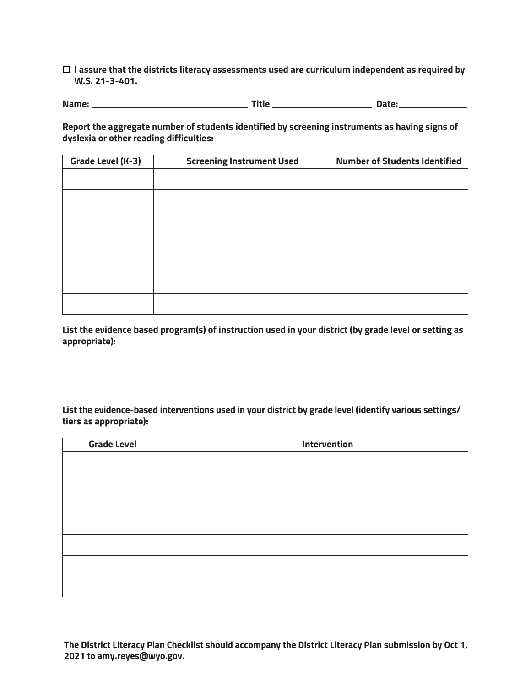**I assure that the districts literacy assessments used are curriculum independent as required by W.S. 21-3-401.** 

**Name: \_\_\_\_\_\_\_\_\_\_\_\_\_\_\_\_\_\_\_\_\_\_\_\_\_\_\_\_\_\_\_\_\_\_\_\_\_\_\_\_\_\_\_\_\_\_\_\_\_\_\_\_\_\_\_\_\_\_\_\_\_\_\_\_\_\_\_\_\_\_\_\_\_\_\_\_\_\_\_\_ Title \_\_\_\_\_\_\_\_\_\_\_\_\_\_\_\_\_\_\_\_\_\_\_\_\_\_\_\_\_\_\_\_\_\_\_\_\_\_\_\_\_\_\_\_\_\_\_\_\_\_\_ Date:\_\_\_\_\_\_\_\_\_\_\_\_\_\_\_\_\_\_\_\_\_\_\_\_\_\_\_\_\_\_\_\_\_\_\_**

**Report the aggregate number of students identified by screening instruments as having signs of dyslexia or other reading difficulties:**

| <b>Grade Level (K-3)</b> | <b>Screening Instrument Used</b> | <b>Number of Students Identified</b> |
|--------------------------|----------------------------------|--------------------------------------|
|                          |                                  |                                      |
|                          |                                  |                                      |
|                          |                                  |                                      |
|                          |                                  |                                      |
|                          |                                  |                                      |
|                          |                                  |                                      |
|                          |                                  |                                      |

**List the evidence based program(s) of instruction used in your district (by grade level or setting as appropriate):**

**List the evidence-based interventions used in your district by grade level (identify various settings/ tiers as appropriate):** 

| <b>Grade Level</b> | Intervention |  |
|--------------------|--------------|--|
|                    |              |  |
|                    |              |  |
|                    |              |  |
|                    |              |  |
|                    |              |  |
|                    |              |  |
|                    |              |  |

**The District Literacy Plan Checklist should accompany the District Literacy Plan submission by Oct 1, 2021 to amy.reyes@wyo.gov.**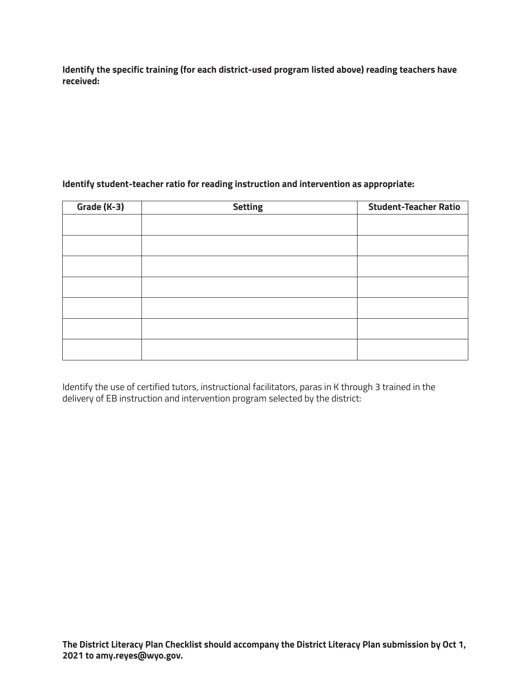**Identify the specific training (for each district-used program listed above) reading teachers have received:**

## **Identify student-teacher ratio for reading instruction and intervention as appropriate:**

| Grade (K-3) | <b>Setting</b> | <b>Student-Teacher Ratio</b> |
|-------------|----------------|------------------------------|
|             |                |                              |
|             |                |                              |
|             |                |                              |
|             |                |                              |
|             |                |                              |
|             |                |                              |
|             |                |                              |

Identify the use of certified tutors, instructional facilitators, paras in K through 3 trained in the delivery of EB instruction and intervention program selected by the district: